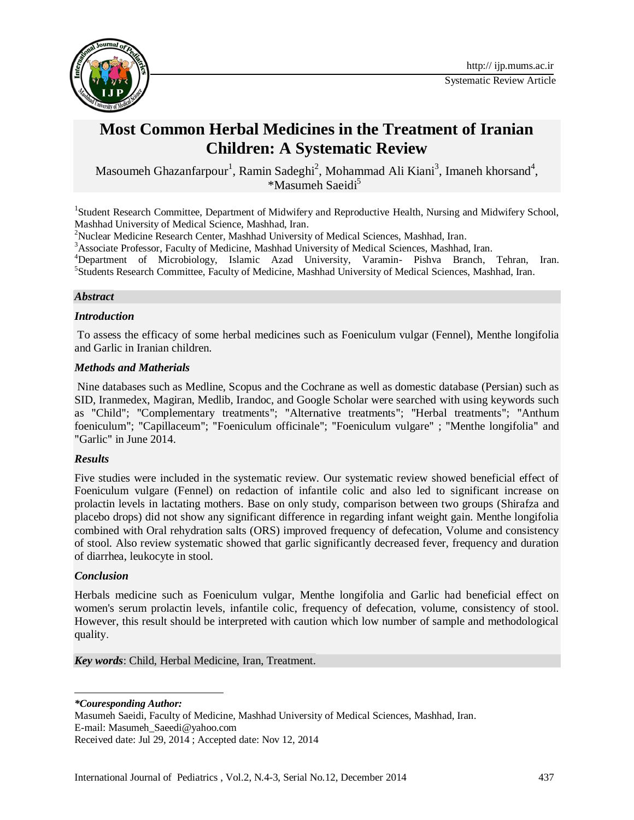

# **Most Common Herbal Medicines in the Treatment of Iranian Children: A Systematic Review**

Masoumeh Ghazanfarpour<sup>1</sup>, Ramin Sadeghi<sup>2</sup>, Mohammad Ali Kiani<sup>3</sup>, Imaneh khorsand<sup>4</sup>, \*Masumeh Saeidi<sup>5</sup>

<sup>1</sup>Student Research Committee, Department of Midwifery and Reproductive Health, Nursing and Midwifery School, Mashhad University of Medical Science, Mashhad, Iran.

<sup>2</sup>Nuclear Medicine Research Center, Mashhad University of Medical Sciences, Mashhad, Iran.

<sup>3</sup>Associate Professor, Faculty of Medicine, Mashhad University of Medical Sciences, Mashhad, Iran.

<sup>4</sup>Department of Microbiology, Islamic Azad University, Varamin- Pishva Branch, Tehran, Iran. <sup>5</sup>Students Research Committee, Faculty of Medicine, Mashhad University of Medical Sciences, Mashhad, Iran.

#### *Abstract*

#### *Introduction*

To assess the efficacy of some herbal medicines such as Foeniculum vulgar (Fennel), Menthe longifolia and Garlic in Iranian children.

#### *Methods and Matherials*

Nine databases such as Medline, Scopus and the Cochrane as well as domestic database (Persian) such as SID, Iranmedex, Magiran, Medlib, Irandoc, and Google Scholar were searched with using keywords such as "Child"; "Complementary treatments"; "Alternative treatments"; "Herbal treatments"; "Anthum foeniculum"; "Capillaceum"; "Foeniculum officinale"; "Foeniculum vulgare" ; "Menthe longifolia" and "Garlic" in June 2014.

#### *Results*

Five studies were included in the systematic review. Our systematic review showed beneficial effect of Foeniculum vulgare (Fennel) on redaction of infantile colic and also led to significant increase on prolactin levels [in lactating mothers.](http://journals.cambridge.org/abstract_S0021932000011287) Base on only study, comparison between two groups (Shirafza and placebo drops) did not show any significant difference in regarding infant weight gain. Menthe longifolia combined with Oral rehydration salts (ORS) improved frequency of defecation, Volume and consistency of stool. Also review systematic showed that garlic significantly decreased fever, frequency and duration of diarrhea, leukocyte in stool.

#### *Conclusion*

 $\overline{\phantom{a}}$ 

Herbals medicine such as Foeniculum vulgar, Menthe longifolia and Garlic had beneficial effect on women's serum prolactin levels, [infantile colic,](http://archpedi.jamanetwork.com/article.aspx?articleid=518116) frequency of defecation, volume, consistency of stool. However, this result should be interpreted with caution which low number of sample and methodological quality.

*Key words*[: Child,](http://ijp.mums.ac.ir/?_action=article&kw=261&_kw=Children) [Herbal Medicine,](http://ijp.mums.ac.ir/?_action=article&kw=532&_kw=Herbal+Medicine) [Iran,](http://ijp.mums.ac.ir/?_action=article&kw=56&_kw=Iran) [Treatment.](http://ijp.mums.ac.ir/?_action=article&kw=2264&_kw=Treatment)

*\*Couresponding Author:*

Masumeh Saeidi, Faculty of Medicine, Mashhad University of Medical Sciences, Mashhad, Iran. E-mail: Masumeh\_Saeedi@yahoo.com Received date: Jul 29, 2014 ; Accepted date: Nov 12, 2014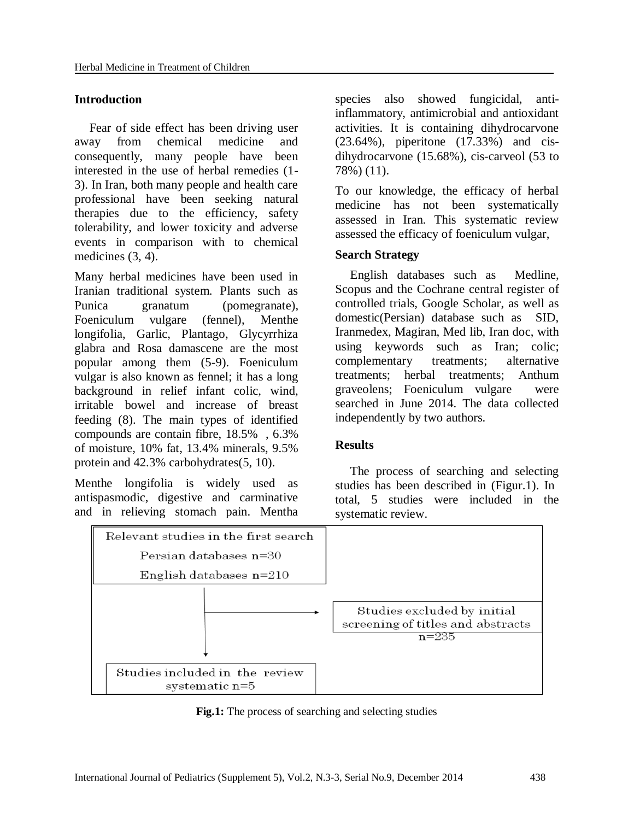## **Introduction**

Fear of side effect has been driving user away from chemical medicine and consequently, many people have been interested in the use of herbal remedies (1- 3). In Iran, both many people and health care professional have been seeking natural therapies due to the efficiency, safety tolerability, and lower toxicity and adverse events in comparison with to chemical medicines  $(3, 4)$ .

Many herbal medicines have been used in Iranian traditional system. Plants such as Punica granatum (pomegranate), Foeniculum vulgare (fennel), Menthe longifolia, Garlic, Plantago, Glycyrrhiza glabra and Rosa damascene are the most popular among them (5-9). Foeniculum vulgar is also known as fennel; it has a long background in relief infant colic, wind, irritable bowel and increase of breast feeding (8). The main types of identified compounds are contain fibre, 18.5% , 6.3% of moisture, 10% fat, 13.4% minerals, 9.5% protein and 42.3% carbohydrates(5, 10).

Menthe longifolia is widely used as antispasmodic, digestive and carminative and in relieving stomach pain. Mentha

species also showed fungicidal, antiinflammatory, antimicrobial and antioxidant activities. It is containing dihydrocarvone (23.64%), piperitone (17.33%) and cisdihydrocarvone (15.68%), cis-carveol (53 to 78%) (11).

To our knowledge, the efficacy of herbal medicine has not been systematically assessed in Iran. This systematic review assessed the efficacy of foeniculum vulgar,

#### **Search Strategy**

English databases such as Medline, Scopus and the Cochrane central register of controlled trials, Google Scholar, as well as domestic(Persian) database such as SID, Iranmedex, Magiran, Med lib, Iran doc, with using keywords such as Iran; colic; complementary treatments; alternative treatments; herbal treatments; Anthum graveolens; Foeniculum vulgare were searched in June 2014. The data collected independently by two authors.

#### **Results**

The process of searching and selecting studies has been described in (Figur.1). In total, 5 studies were included in the systematic review.



**Fig.1:** The process of searching and selecting studies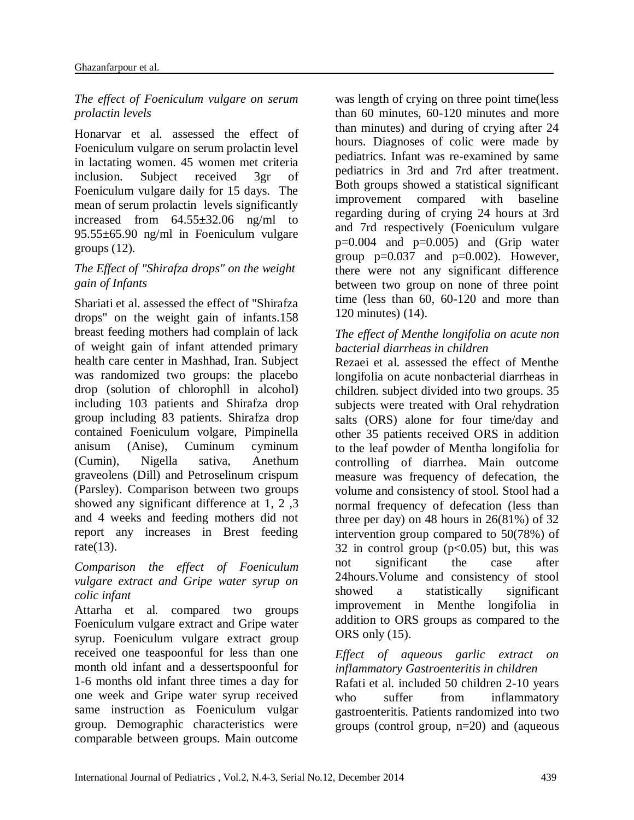## *The effect of Foeniculum vulgare on serum prolactin levels*

Honarvar et al. assessed the effect of Foeniculum vulgare on serum prolactin level in lactating women. 45 women met criteria inclusion. Subject received 3gr of Foeniculum vulgare daily for 15 days. The mean of serum prolactin levels significantly increased from 64.55±32.06 ng/ml to 95.55±65.90 ng/ml in Foeniculum vulgare groups  $(12)$ .

# *The Effect of "Shirafza drops" on the weight gain of Infants*

Shariati et al. assessed the effect of "Shirafza drops" on the weight gain of infants.158 breast feeding mothers had complain of lack of weight gain of infant attended primary health care center in Mashhad, Iran. Subject was randomized two groups: the placebo drop (solution of chlorophll in alcohol) including 103 patients and Shirafza drop group including 83 patients. Shirafza drop contained Foeniculum volgare, Pimpinella anisum (Anise), Cuminum cyminum (Cumin), Nigella sativa, Anethum graveolens (Dill) and Petroselinum crispum (Parsley). Comparison between two groups showed any significant difference at 1, 2 ,3 and 4 weeks and feeding mothers did not report any increases in Brest feeding rate(13).

## *Comparison the effect of Foeniculum vulgare extract and Gripe water syrup on colic infant*

[Attarha e](http://www.cabdirect.org/search.html?q=au%3A%22Attarha%2C+M.%22)t al. compared two groups Foeniculum vulgare extract and Gripe water syrup. Foeniculum vulgare extract group received one teaspoonful for less than one month old infant and a dessertspoonful for 1-6 months old infant three times a day for one week and Gripe water syrup received same instruction as Foeniculum vulgar group. Demographic characteristics were comparable between groups. Main outcome

was length of crying on three point time(less than 60 minutes, 60-120 minutes and more than minutes) and during of crying after 24 hours. Diagnoses of colic were made by pediatrics. Infant was re-examined by same pediatrics in 3rd and 7rd after treatment. Both groups showed a statistical significant improvement compared with baseline regarding during of crying 24 hours at 3rd and 7rd respectively (Foeniculum vulgare  $p=0.004$  and  $p=0.005$ ) and (Grip water group  $p=0.037$  and  $p=0.002$ ). However, there were not any significant difference between two group on none of three point time (less than 60, 60-120 and more than 120 minutes) (14).

# *The effect of Menthe longifolia on acute non bacterial diarrheas in children*

Rezaei et al. assessed the effect of Menthe longifolia on acute nonbacterial diarrheas in children. subject divided into two groups. 35 subjects were treated with Oral rehydration salts (ORS) alone for four time/day and other 35 patients received ORS in addition to the leaf powder of Mentha longifolia for controlling of diarrhea. Main outcome measure was frequency of defecation, the volume and consistency of stool. Stool had a normal frequency of defecation (less than three per day) on 48 hours in  $26(81\%)$  of 32 intervention group compared to 50(78%) of 32 in control group  $(p<0.05)$  but, this was not significant the case after 24hours.Volume and consistency of stool showed a statistically significant improvement in Menthe longifolia in addition to ORS groups as compared to the ORS only (15).

*Effect of aqueous garlic extract on inflammatory Gastroenteritis in children* Rafati et al. included 50 children 2-10 years who suffer from inflammatory gastroenteritis. Patients randomized into two groups (control group, n=20) and (aqueous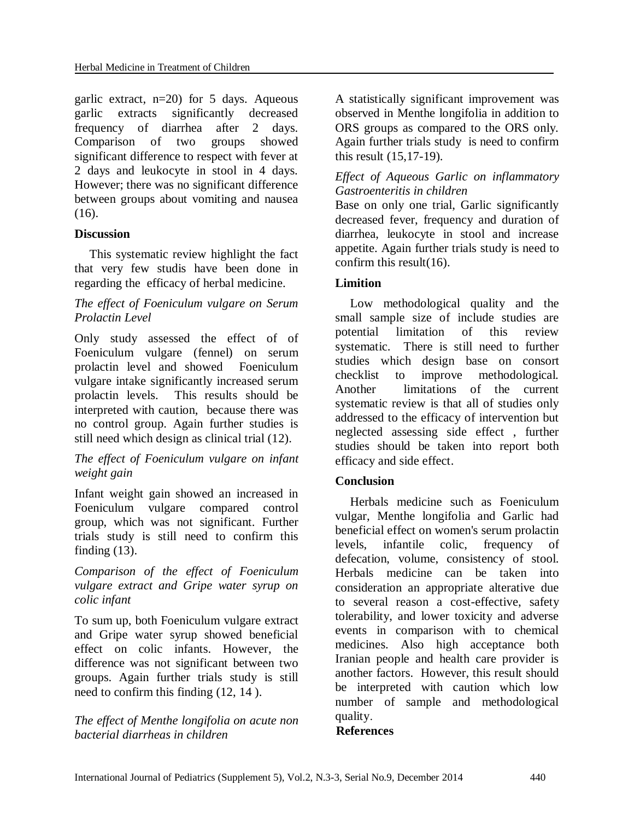garlic extract,  $n=20$  for 5 days. Aqueous garlic extracts significantly decreased frequency of diarrhea after 2 days. Comparison of two groups showed significant difference to respect with fever at 2 days and leukocyte in stool in 4 days. However; there was no significant difference between groups about vomiting and nausea (16).

## **Discussion**

This systematic review highlight the fact that very few studis have been done in regarding the efficacy of herbal medicine.

## *The effect of Foeniculum vulgare on Serum Prolactin Level*

Only study assessed the effect of of Foeniculum vulgare (fennel) on serum prolactin level and showed Foeniculum vulgare intake significantly increased serum prolactin levels. This results should be interpreted with caution, because there was no control group. Again further studies is still need which design as clinical trial (12).

## *The effect of Foeniculum vulgare on infant weight gain*

Infant weight gain showed an increased in Foeniculum vulgare compared control group, which was not significant. Further trials study is still need to confirm this finding  $(13)$ .

## *Comparison of the effect of Foeniculum vulgare extract and Gripe water syrup on colic infant*

To sum up, both Foeniculum vulgare extract and Gripe water syrup showed beneficial effect on colic infants. However, the difference was not significant between two groups. Again further trials study is still need to confirm this finding (12, 14 ).

*The effect of Menthe longifolia on acute non bacterial diarrheas in children*

A statistically significant improvement was observed in Menthe longifolia in addition to ORS groups as compared to the ORS only. Again further trials study is need to confirm this result (15,17-19).

## *Effect of Aqueous Garlic on inflammatory Gastroenteritis in children*

Base on only one trial, Garlic significantly decreased fever, frequency and duration of diarrhea, leukocyte in stool and increase appetite. Again further trials study is need to confirm this result(16).

# **Limition**

Low methodological quality and the small sample size of include studies are potential limitation of this review systematic. There is still need to further studies which design base on consort checklist to improve methodological. Another limitations of the current systematic review is that all of studies only addressed to the efficacy of intervention but neglected assessing side effect , further studies should be taken into report both efficacy and side effect.

## **Conclusion**

Herbals medicine such as Foeniculum vulgar, Menthe longifolia and Garlic had beneficial effect on women's serum prolactin levels, [infantile colic,](http://archpedi.jamanetwork.com/article.aspx?articleid=518116) frequency of defecation, volume, consistency of stool. Herbals medicine can be taken into consideration an appropriate alterative due to several reason a cost-effective, safety tolerability, and lower toxicity and adverse events in comparison with to chemical medicines. Also high acceptance both Iranian people and health care provider is another factors. However, this result should be interpreted with caution which low number of sample and methodological quality.

#### **References**